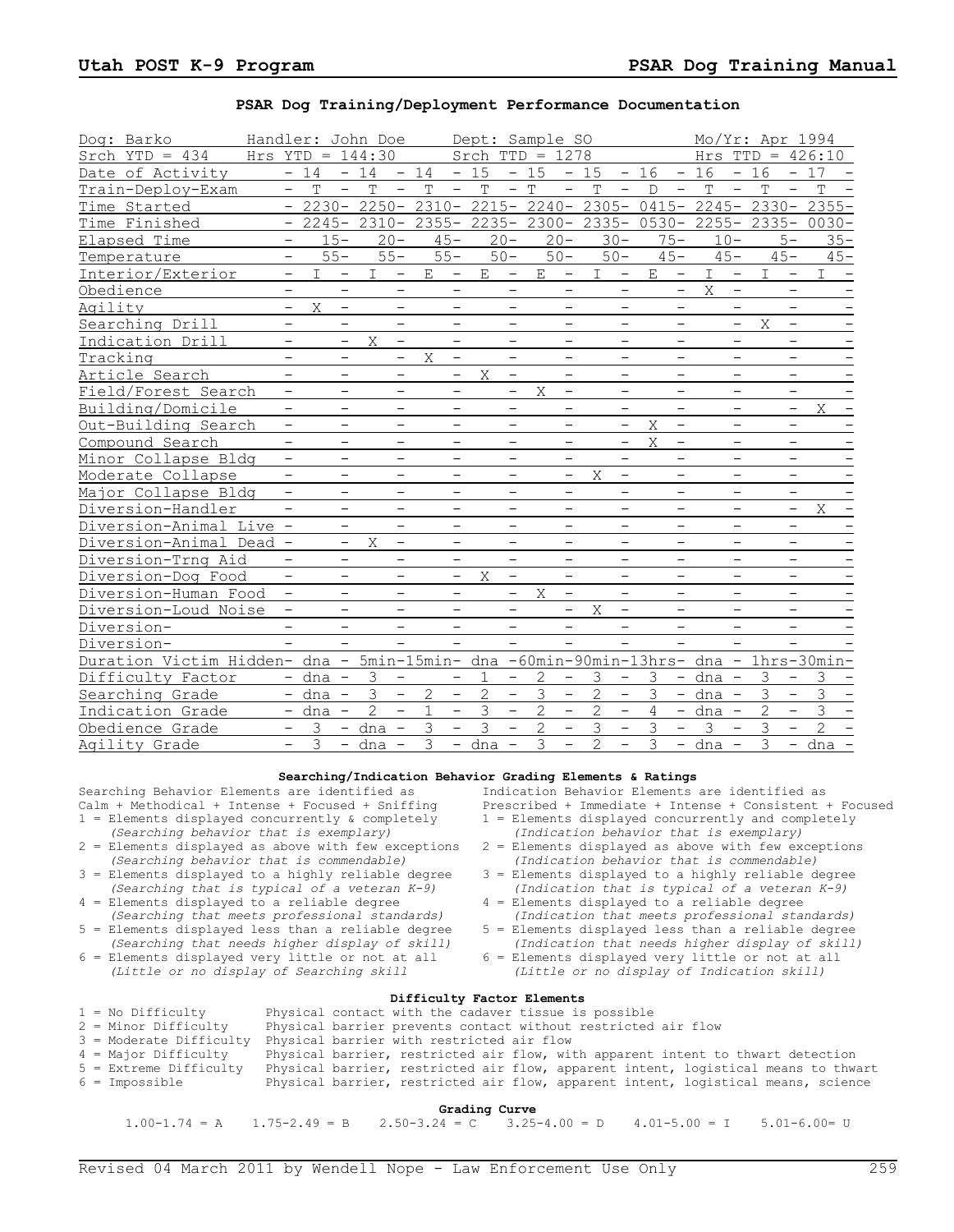## **PSAR Dog Training/Deployment Performance Documentation**

| Dog: Barko                                                                          | Handler: John Doe             |                          |                 |                          |                                     | Dept: Sample SO   |                          |                |                          |                |                          |                |                          |              |                          |             |                          | Mo/Yr: Apr 1994                                                          |
|-------------------------------------------------------------------------------------|-------------------------------|--------------------------|-----------------|--------------------------|-------------------------------------|-------------------|--------------------------|----------------|--------------------------|----------------|--------------------------|----------------|--------------------------|--------------|--------------------------|-------------|--------------------------|--------------------------------------------------------------------------|
| Srch $YTD = 434$                                                                    | Hrs $YTD = 144:30$            |                          |                 |                          |                                     | Srch $TTD = 1278$ |                          |                |                          |                |                          |                |                          |              |                          |             |                          | Hrs $TTD = 426:10$                                                       |
| Date of Activity                                                                    | $-14$                         |                          | $-14$           | $\sim$                   | 14                                  | $-15$             |                          | $-15$          |                          | $-15$          |                          | $-16$          | $-16$                    |              |                          | $-16$       |                          | $-17$                                                                    |
| Train-Deploy-Exam                                                                   | $\mathbf T$<br>$-$            | $\overline{\phantom{a}}$ | T               | $\overline{\phantom{a}}$ | T<br>$\overline{\phantom{a}}$       | T                 |                          | $-$ T          | $\qquad \qquad -$        | $\mathbf T$    | $\overline{\phantom{a}}$ | $\mathsf{D}$   | $\overline{\phantom{m}}$ | T            | $\overline{\phantom{a}}$ | T           | $\qquad \qquad -$        | T                                                                        |
| Time Started                                                                        |                               |                          |                 |                          |                                     |                   |                          |                |                          |                |                          |                |                          |              |                          |             |                          | $-2230 - 2250 - 2310 - 2215 - 2240 - 2305 - 0415 - 2245 - 2330 - 2355 -$ |
| Time Finished                                                                       | $-$                           |                          | $2245 - 2310 -$ |                          | 2355- 2235- 2300- 2335- 0530- 2255- |                   |                          |                |                          |                |                          |                |                          |              |                          |             |                          | $2335 - 0030 -$                                                          |
| Elapsed Time                                                                        | $\overline{\phantom{0}}$      | $15 -$                   | $20 -$          |                          | $45 -$                              |                   | $20 -$                   |                | $20 -$                   |                | $30 -$                   | $75 -$         |                          | $10 -$       |                          |             | $5-$                     | $35 -$                                                                   |
| Temperature                                                                         | $\overline{\phantom{m}}$      | $55 -$                   | $55 -$          |                          | $55 -$                              |                   | $50 -$                   |                | $50 -$                   |                | $50 -$                   | $45 -$         |                          | $45 -$       |                          |             | $45 -$                   | $45 -$                                                                   |
| Interior/Exterior                                                                   | I<br>$\overline{\phantom{a}}$ | $\qquad \qquad -$        | $\mathbb{I}$    | $-$                      | E<br>$\qquad \qquad -$              | E                 | $\overline{\phantom{a}}$ | E              | $-$                      | $\mathbb{I}$   | $-$                      | E              | $\overline{\phantom{a}}$ | $\mathbf{I}$ | $-$                      | $\mathbf I$ | $\overline{\phantom{a}}$ | $\mathbf I$                                                              |
| Obedience                                                                           | -                             | -                        |                 | $\qquad \qquad -$        | $\overline{\phantom{m}}$            |                   | $\overline{\phantom{m}}$ |                | $\qquad \qquad -$        |                | $\overline{\phantom{a}}$ |                | $\overline{\phantom{a}}$ | X            | $\overline{\phantom{a}}$ |             | $\qquad \qquad -$        |                                                                          |
| Agility                                                                             | X<br>$\overline{\phantom{0}}$ | -                        |                 | $\overline{\phantom{a}}$ | -                                   |                   | $\overline{\phantom{m}}$ |                | $\overline{\phantom{a}}$ |                | $\qquad \qquad -$        |                | $\qquad \qquad -$        |              | $\overline{\phantom{0}}$ |             | $\qquad \qquad -$        |                                                                          |
| Searching Drill                                                                     | -                             | $\overline{\phantom{a}}$ |                 | $\overline{\phantom{a}}$ | $\qquad \qquad -$                   |                   | $\overline{\phantom{m}}$ |                | $\overline{\phantom{a}}$ |                | $\overline{\phantom{m}}$ |                | $\qquad \qquad -$        |              | $\overline{\phantom{a}}$ | Χ           | $\overline{\phantom{a}}$ |                                                                          |
| Indication Drill                                                                    | $\overline{\phantom{m}}$      | $\overline{\phantom{a}}$ | X               | $\overline{\phantom{a}}$ | $\overline{\phantom{m}}$            |                   | $\overline{\phantom{m}}$ |                | $\overline{\phantom{m}}$ |                | $\overline{\phantom{m}}$ |                | $\qquad \qquad -$        |              | $\overline{\phantom{m}}$ |             | $\overline{\phantom{m}}$ |                                                                          |
| Tracking                                                                            | $\overline{\phantom{m}}$      | $\overline{\phantom{a}}$ |                 | $-$                      | X<br>$\overline{\phantom{m}}$       |                   | $\qquad \qquad -$        |                | $\overline{\phantom{a}}$ |                | $\overline{\phantom{m}}$ |                | $\overline{\phantom{0}}$ |              | $\overline{\phantom{a}}$ |             | $\overline{\phantom{a}}$ |                                                                          |
| Article Search                                                                      | $\qquad \qquad -$             | $\overline{\phantom{a}}$ |                 | $\overline{\phantom{a}}$ | $\overline{\phantom{a}}$            | X                 | $\overline{\phantom{a}}$ |                | $\overline{\phantom{a}}$ |                | $\overline{\phantom{m}}$ |                | $\overline{\phantom{0}}$ |              | $\overline{\phantom{a}}$ |             | $\qquad \qquad -$        |                                                                          |
| Field/Forest Search                                                                 | $\overline{\phantom{0}}$      | $\overline{\phantom{0}}$ |                 | $\overline{\phantom{m}}$ | $\overline{\phantom{0}}$            |                   | $\qquad \qquad -$        | X              | $\overline{\phantom{0}}$ |                | $\overline{\phantom{m}}$ |                | $\overline{\phantom{0}}$ |              | $\overline{\phantom{m}}$ |             | $\overline{\phantom{m}}$ |                                                                          |
| Building/Domicile                                                                   | $\overline{\phantom{a}}$      | $\overline{\phantom{0}}$ |                 | $\overline{\phantom{m}}$ | $\overline{\phantom{0}}$            |                   | $\overline{\phantom{m}}$ |                | $\overline{\phantom{a}}$ |                | $\overline{\phantom{m}}$ |                | $\qquad \qquad -$        |              | $\overline{\phantom{m}}$ |             | $\qquad \qquad -$        | X                                                                        |
| Out-Building Search                                                                 | $\overline{\phantom{0}}$      | $\overline{\phantom{0}}$ |                 | $\overline{\phantom{m}}$ | $\qquad \qquad -$                   |                   | $\qquad \qquad -$        |                | $\overline{\phantom{m}}$ |                | $\overline{\phantom{m}}$ | X              | $\overline{\phantom{a}}$ |              | $\overline{\phantom{m}}$ |             | $\qquad \qquad -$        |                                                                          |
| Compound Search                                                                     | $\overline{\phantom{0}}$      | $\overline{\phantom{0}}$ |                 | $\overline{\phantom{m}}$ | $\qquad \qquad$                     |                   | $\overline{\phantom{m}}$ |                | $\qquad \qquad -$        |                | $\overline{\phantom{m}}$ | X              | $\qquad \qquad -$        |              | $\overline{\phantom{m}}$ |             | $\overline{\phantom{m}}$ |                                                                          |
| Minor Collapse Bldg                                                                 | $\qquad \qquad -$             | $\overline{\phantom{0}}$ |                 | $\overline{\phantom{m}}$ | $\overline{\phantom{0}}$            |                   | $\overline{\phantom{m}}$ |                | $\overline{\phantom{m}}$ |                | $\overline{\phantom{m}}$ |                | $\qquad \qquad -$        |              | $\overline{\phantom{m}}$ |             | $\overline{\phantom{0}}$ |                                                                          |
| Moderate Collapse                                                                   | $\qquad \qquad -$             | $\overline{\phantom{0}}$ |                 | $\overline{\phantom{m}}$ | $\overline{\phantom{0}}$            |                   | $\overline{\phantom{0}}$ |                | $\overline{\phantom{a}}$ | X              | $\overline{\phantom{m}}$ |                |                          |              | $\overline{\phantom{m}}$ |             | $\overline{\phantom{m}}$ |                                                                          |
| Major Collapse Bldg                                                                 | $\overline{\phantom{0}}$      | $\overline{\phantom{0}}$ |                 | $\qquad \qquad -$        | $\overline{\phantom{0}}$            |                   | $\overline{\phantom{0}}$ |                | $\overline{\phantom{a}}$ |                | $\overline{\phantom{m}}$ |                | $\overline{\phantom{0}}$ |              | $\overline{\phantom{0}}$ |             | $\overline{\phantom{m}}$ |                                                                          |
| Diversion-Handler                                                                   | $\qquad \qquad -$             | $\overline{\phantom{0}}$ |                 | $\qquad \qquad -$        | $\qquad \qquad -$                   |                   | $\qquad \qquad -$        |                | $\overline{\phantom{0}}$ |                | $\qquad \qquad -$        |                | $\qquad \qquad -$        |              | $\qquad \qquad -$        |             | $-$                      | X                                                                        |
| Diversion-Animal Live                                                               | $\overline{\phantom{0}}$      | $\overline{\phantom{0}}$ |                 | $\overline{\phantom{0}}$ | $\overline{\phantom{0}}$            |                   | $\overline{\phantom{0}}$ |                | $\qquad \qquad -$        |                | $\overline{\phantom{m}}$ |                | $\qquad \qquad -$        |              | $\qquad \qquad -$        |             | $\overline{\phantom{0}}$ |                                                                          |
| Diversion-Animal Dead -                                                             |                               | $\overline{\phantom{a}}$ | X               | $\overline{\phantom{0}}$ | $\overline{\phantom{m}}$            |                   | $\qquad \qquad -$        |                | $\qquad \qquad -$        |                | $\overline{\phantom{m}}$ |                | $\overline{\phantom{0}}$ |              |                          |             | $\qquad \qquad -$        |                                                                          |
| Diversion-Trng Aid                                                                  | $\overline{\phantom{0}}$      | $\overline{\phantom{m}}$ |                 | $\overline{\phantom{m}}$ | $\overline{\phantom{m}}$            |                   | $\overline{\phantom{0}}$ |                | $\qquad \qquad -$        |                | $\overline{\phantom{m}}$ |                | $\qquad \qquad -$        |              | $\overline{\phantom{0}}$ |             | $\overline{\phantom{m}}$ |                                                                          |
| Diversion-Dog Food                                                                  | $-$                           | $\overline{\phantom{0}}$ |                 | $\qquad \qquad -$        | $\overline{\phantom{0}}$            | X                 | $\qquad \qquad -$        |                | $\overline{\phantom{0}}$ |                | $\qquad \qquad -$        |                | $\qquad \qquad -$        |              | $\overline{\phantom{0}}$ |             | $\qquad \qquad -$        |                                                                          |
| Diversion-Human Food                                                                | $-$                           | $\overline{\phantom{0}}$ |                 | $\qquad \qquad -$        | $\qquad \qquad -$                   |                   | $-$                      | X              | $\overline{\phantom{0}}$ |                | $\overline{\phantom{m}}$ |                | $\overline{\phantom{0}}$ |              |                          |             |                          |                                                                          |
| Diversion-Loud Noise                                                                | $\qquad \qquad -$             | $\overline{\phantom{0}}$ |                 | $\qquad \qquad -$        |                                     |                   |                          |                | $\qquad \qquad -$        | X              | $\overline{\phantom{m}}$ |                | $\qquad \qquad -$        |              |                          |             |                          |                                                                          |
| Diversion-                                                                          | $-$                           | $\overline{\phantom{0}}$ |                 | $\overline{\phantom{0}}$ |                                     |                   |                          |                | $\overline{\phantom{0}}$ |                | $\overline{\phantom{0}}$ |                | $\overline{\phantom{0}}$ |              | $\overline{\phantom{0}}$ |             |                          |                                                                          |
| Diversion-                                                                          |                               | $\overline{\phantom{0}}$ |                 |                          |                                     |                   |                          |                |                          |                |                          |                |                          |              |                          |             |                          |                                                                          |
| Duration Victim Hidden- dna - 5min-15min- dna -60min-90min-13hrs- dna - 1hrs-30min- |                               |                          |                 |                          |                                     |                   |                          |                |                          |                |                          |                |                          |              |                          |             |                          |                                                                          |
| Difficulty Factor                                                                   | $-$ dna $-$                   |                          | 3               | $\overline{\phantom{a}}$ | $\overline{\phantom{0}}$            | $\mathbf{1}$      | $-$                      | 2              | $\overline{\phantom{a}}$ | 3              | $\overline{\phantom{0}}$ | 3              |                          | $-$ dna $-$  |                          | 3           | $\overline{\phantom{m}}$ | 3                                                                        |
| Searching Grade                                                                     | $-$ dna $-$                   |                          | $\mathfrak{Z}$  | $\overline{\phantom{0}}$ | $\overline{c}$<br>$\equiv$          | $\overline{c}$    | $\equiv$                 | 3              | $\equiv$                 | $\overline{2}$ | $\equiv$                 | 3              |                          | $-$ dna $-$  |                          | 3           | $\equiv$                 | 3                                                                        |
| Indication Grade                                                                    | $-$ dna $-$                   |                          | $\overline{2}$  | $\equiv$                 | $\mathbf{1}$<br>$\equiv$            | $\mathfrak{Z}$    | $\equiv$                 | $\overline{2}$ | $\overline{\phantom{0}}$ | $\overline{2}$ | $\overline{\phantom{0}}$ | $\overline{4}$ |                          | $-$ dna $-$  |                          | 2           | $\overline{\phantom{0}}$ | 3                                                                        |
| Obedience Grade                                                                     | 3                             |                          | - dna           | $\overline{\phantom{m}}$ | 3<br>$\equiv$                       | 3                 |                          | $\overline{2}$ | $\equiv$                 | 3              | $\overline{\phantom{0}}$ | 3              | $\equiv$                 | 3            | $\equiv$                 | 3           | $\overline{\phantom{0}}$ | $\overline{2}$                                                           |
| Agility Grade                                                                       | 3<br>$\overline{\phantom{0}}$ | $-$                      | dna -           |                          | 3                                   | $-$ dna $-$       |                          | 3              | $\qquad \qquad -$        | $\overline{2}$ | $\equiv$                 | 3              |                          | $-$ dna $-$  |                          | 3           |                          | - dna                                                                    |

### **Searching/Indication Behavior Grading Elements & Ratings**

Searching Behavior Elements are identified as <br>Calm + Methodical + Intense + Focused + Sniffing Prescribed + Immediate + Intense + Consistent +

- *(Searching behavior that is exemplary) (Indication behavior that is exemplary)*
- *(Searching behavior that is commendable) (Indication behavior that is commendable)*
- *(Searching that is typical of a veteran K-9) (Indication that is typical of a veteran K-9)*
- 4 = Elements displayed to a reliable degree<br>(Searching that meets professional standards) *(Searching that meets professional standards) (Indication that meets professional standards)*
- 
- $6 =$  Elements displayed very little or not at all (Little or no display of Searching skill

Prescribed + Immediate + Intense + Consistent + Focused

- 1 = Elements displayed concurrently & completely  $1 =$  Elements displayed concurrently and completely (Searching behavior that is exemplary) (Indication behavior that is exemplary)
	- $2 =$  Elements displayed as above with few exceptions (Indication behavior that is commendable)
- 3 = Elements displayed to a highly reliable degree 3 = Elements displayed to a highly reliable degree (Searching that is typical of a veteran  $K-9$ ) (Indication that is typical of a veteran  $K-9$ )
	-
	- Elements displayed less than a reliable degree 5 = Elements displayed less than a reliable degree<br>(Searching that needs higher display of skill) (Indication that needs higher display of skill) *(Indication that needs higher display of skill)*  $6 =$  Elements displayed very little or not at all
		- *(Little or no display of Searching skill (Little or no display of Indication skill)*

# **Difficulty Factor Elements**

| $\mathbf{A}$ and $\mathbf{A}$ is a second contract of $\mathbf{A}$ |                                                                                    |  |  |  |  |  |  |
|--------------------------------------------------------------------|------------------------------------------------------------------------------------|--|--|--|--|--|--|
| $6 =$ Impossible                                                   | Physical barrier, restricted air flow, apparent intent, logistical means, science  |  |  |  |  |  |  |
| $5$ = Extreme Difficulty                                           | Physical barrier, restricted air flow, apparent intent, logistical means to thwart |  |  |  |  |  |  |
| 4 = Major Difficulty                                               | Physical barrier, restricted air flow, with apparent intent to thwart detection    |  |  |  |  |  |  |
| 3 = Moderate Difficulty                                            | Physical barrier with restricted air flow                                          |  |  |  |  |  |  |
| 2 = Minor Difficulty                                               | Physical barrier prevents contact without restricted air flow                      |  |  |  |  |  |  |
| $1 = No$ Difficulty                                                | Physical contact with the cadaver tissue is possible                               |  |  |  |  |  |  |

## **Grading Curve**<br> $2.50-3.24 = C$   $3.25-4.00 = D$ 1.00-1.74 = A  $1.75-2.49 = B$   $2.50-3.24 = C$   $3.25-4.00 = D$   $4.01-5.00 = I$   $5.01-6.00= U$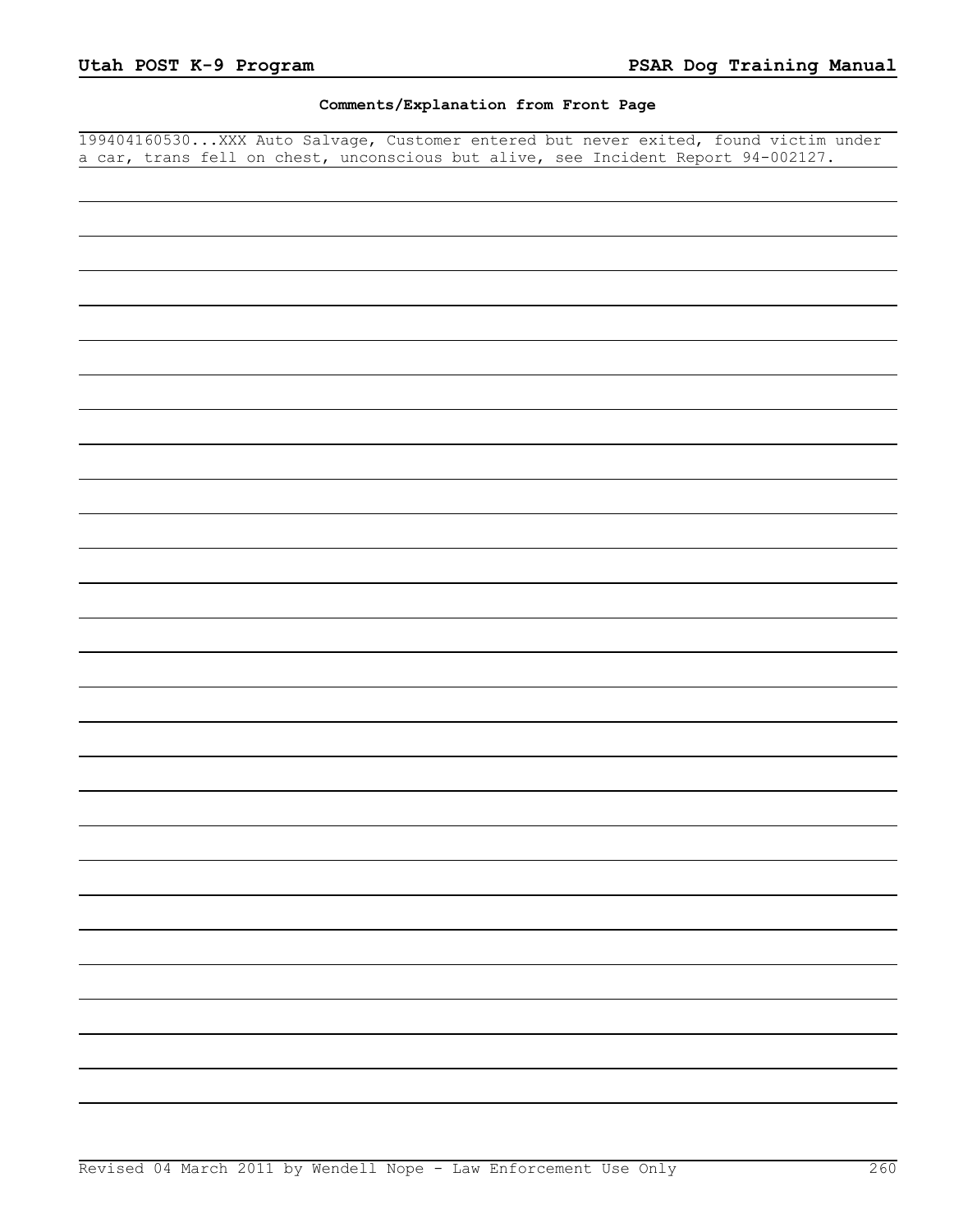# **Comments/Explanation from Front Page**

199404160530...XXX Auto Salvage, Customer entered but never exited, found victim under a car, trans fell on chest, unconscious but alive, see Incident Report 94-002127.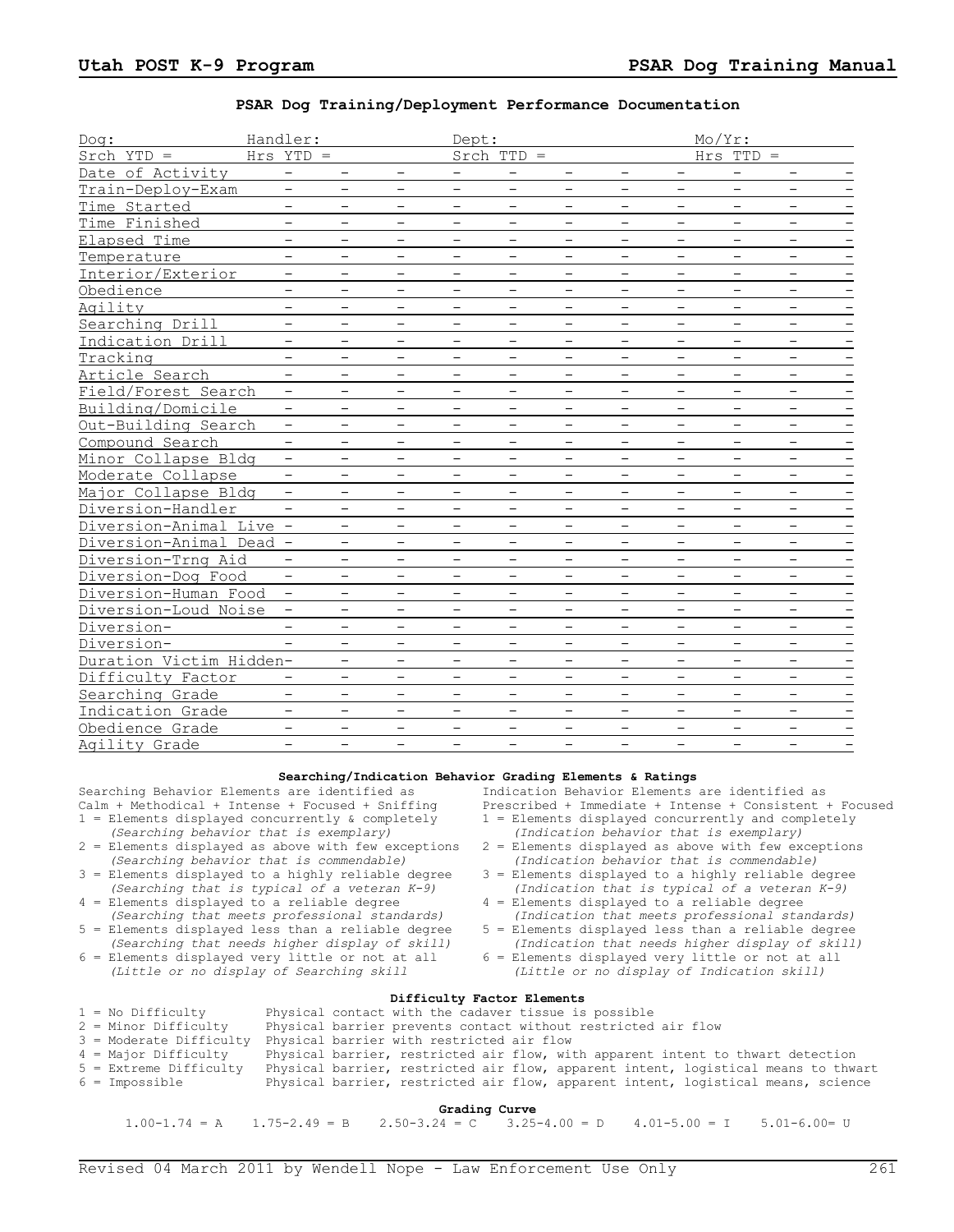## **PSAR Dog Training/Deployment Performance Documentation**

| Doq:                    | Handler:                 |                          |                          | Dept:                    |                          |                          |                          |                          | Mo/Yr:                   |                          |  |
|-------------------------|--------------------------|--------------------------|--------------------------|--------------------------|--------------------------|--------------------------|--------------------------|--------------------------|--------------------------|--------------------------|--|
| $Stch$ $YTD =$          | $Hrs$ $YTD =$            |                          |                          |                          | $Srch$ TTD =             |                          |                          |                          | $Hrs$ TTD =              |                          |  |
| Date of Activity        | $\overline{\phantom{0}}$ | $\overline{\phantom{0}}$ |                          |                          | $\qquad \qquad -$        | $\qquad \qquad -$        | $\qquad \qquad -$        |                          | $\qquad \qquad -$        | $\overline{\phantom{a}}$ |  |
| Train-Deploy-Exam       | $\overline{\phantom{0}}$ | $\overline{\phantom{0}}$ | $\qquad \qquad -$        | —                        |                          | $\qquad \qquad -$        | $\qquad \qquad -$        |                          | $\qquad \qquad -$        | $\qquad \qquad -$        |  |
| Time Started            | -                        | $\qquad \qquad -$        | -                        |                          | $\qquad \qquad -$        | $\qquad \qquad -$        | $\qquad \qquad -$        | $\overline{\phantom{0}}$ | $\qquad \qquad -$        | $\qquad \qquad -$        |  |
| Time Finished           | $\qquad \qquad -$        | $\overline{\phantom{0}}$ |                          |                          |                          | $\qquad \qquad -$        | $\qquad \qquad -$        |                          |                          | $\overline{\phantom{0}}$ |  |
| Elapsed Time            | $\qquad \qquad -$        | $\qquad \qquad -$        | $\qquad \qquad -$        | $\overline{\phantom{0}}$ | $\qquad \qquad -$        | $\qquad \qquad -$        | $\qquad \qquad -$        |                          | $\qquad \qquad -$        | $\overline{\phantom{a}}$ |  |
| Temperature             | $\qquad \qquad -$        | $\qquad \qquad -$        | $\qquad \qquad -$        | $\qquad \qquad -$        | $\qquad \qquad -$        | $\overline{\phantom{a}}$ | $\qquad \qquad -$        | $\overline{\phantom{0}}$ | $\qquad \qquad -$        | $\overline{\phantom{a}}$ |  |
| Interior/Exterior       | $\qquad \qquad -$        | $\qquad \qquad -$        | $\qquad \qquad -$        | $\qquad \qquad -$        | $\overline{\phantom{0}}$ | $\qquad \qquad -$        | $\qquad \qquad -$        | $\qquad \qquad -$        | $\qquad \qquad -$        | $\overline{\phantom{a}}$ |  |
| Obedience               | $\overline{\phantom{0}}$ | $\qquad \qquad -$        | $\overline{\phantom{0}}$ | $\qquad \qquad -$        | $\qquad \qquad -$        | $\qquad \qquad -$        | $\qquad \qquad -$        | $\qquad \qquad -$        | $\qquad \qquad -$        | $\overline{\phantom{a}}$ |  |
| Agility                 | $\overline{\phantom{0}}$ | $\qquad \qquad -$        | $\overline{\phantom{0}}$ | $\qquad \qquad -$        | $\qquad \qquad -$        | $\overline{\phantom{a}}$ | $\overline{\phantom{0}}$ | $\qquad \qquad -$        | $\qquad \qquad -$        | $\overline{\phantom{a}}$ |  |
| Searching Drill         | $\qquad \qquad -$        | $\qquad \qquad -$        | $\qquad \qquad -$        | $\overline{\phantom{0}}$ | $\qquad \qquad -$        | $\overline{\phantom{a}}$ | $\overline{\phantom{0}}$ | $\overline{\phantom{m}}$ | $\overline{\phantom{0}}$ | $\overline{\phantom{a}}$ |  |
| Indication Drill        | $\qquad \qquad -$        | $\qquad \qquad -$        | $\overline{\phantom{0}}$ | $\qquad \qquad -$        | $\overline{\phantom{a}}$ | $\overline{\phantom{a}}$ | $\overline{\phantom{0}}$ | $\qquad \qquad -$        | $\qquad \qquad -$        | $\overline{\phantom{a}}$ |  |
| Tracking                | $\overline{\phantom{0}}$ | $\overline{\phantom{0}}$ | $\overline{\phantom{0}}$ | $\overline{\phantom{0}}$ | $\overline{\phantom{m}}$ | $\overline{\phantom{a}}$ | $\overline{\phantom{0}}$ | $\overline{\phantom{0}}$ | $\overline{\phantom{a}}$ | $\overline{\phantom{a}}$ |  |
| Article Search          | $\overline{\phantom{0}}$ | $\overline{\phantom{0}}$ | $\qquad \qquad -$        | $\qquad \qquad -$        | $\overline{\phantom{m}}$ | $\overline{\phantom{a}}$ | $\qquad \qquad -$        | $\overline{\phantom{0}}$ | $\qquad \qquad -$        | $\overline{\phantom{a}}$ |  |
| Field/Forest Search     |                          | $\overline{\phantom{0}}$ | $\qquad \qquad -$        | —                        | $\qquad \qquad -$        | $\qquad \qquad -$        | $\overline{\phantom{m}}$ |                          | $\qquad \qquad -$        | $\qquad \qquad -$        |  |
| Building/Domicile       | $\qquad \qquad -$        | $\qquad \qquad -$        | $\overline{\phantom{0}}$ |                          | $\qquad \qquad -$        | $\overline{\phantom{m}}$ | $\qquad \qquad -$        |                          | $\qquad \qquad -$        | $\overline{\phantom{m}}$ |  |
| Out-Building Search     | $\overline{\phantom{0}}$ | $\overline{\phantom{0}}$ | $\overline{\phantom{0}}$ | $\overline{\phantom{0}}$ | $\overline{\phantom{0}}$ | $\qquad \qquad -$        | $\overline{\phantom{0}}$ | $\overline{\phantom{0}}$ | $\overline{\phantom{0}}$ | $\qquad \qquad -$        |  |
| Compound Search         | $\qquad \qquad -$        | $\qquad \qquad -$        | $\qquad \qquad -$        | $\qquad \qquad -$        | $\qquad \qquad -$        | $\qquad \qquad -$        | $\overline{\phantom{0}}$ | $\overline{\phantom{0}}$ | $\qquad \qquad -$        | $\overline{\phantom{m}}$ |  |
| Minor Collapse Bldg     | $\qquad \qquad -$        | $\qquad \qquad -$        | $\qquad \qquad -$        | $\qquad \qquad -$        | $\qquad \qquad -$        | $\qquad \qquad -$        | $\qquad \qquad -$        | $\qquad \qquad -$        | $\qquad \qquad -$        | $\overline{\phantom{0}}$ |  |
| Moderate Collapse       | $\qquad \qquad -$        | $\overline{\phantom{0}}$ |                          |                          |                          |                          |                          |                          |                          |                          |  |
| Major Collapse Bldg     | $\overline{\phantom{0}}$ | $\equiv$                 |                          |                          |                          | $\overline{\phantom{0}}$ | $\qquad \qquad -$        |                          | $\qquad \qquad -$        | $\overline{\phantom{0}}$ |  |
| Diversion-Handler       | $-$                      |                          | $\qquad \qquad -$        | $\qquad \qquad -$        | $\qquad \qquad -$        | $\overline{\phantom{0}}$ | $\overline{\phantom{0}}$ | $\qquad \qquad -$        | $\overline{\phantom{0}}$ | $\overline{\phantom{m}}$ |  |
| Diversion-Animal Live - |                          |                          |                          | $\overline{\phantom{0}}$ |                          | $\overline{\phantom{0}}$ | $\qquad \qquad -$        |                          | $\overline{\phantom{0}}$ | $\qquad \qquad -$        |  |
| Diversion-Animal Dead - |                          | $\overline{\phantom{0}}$ |                          | $\overline{\phantom{0}}$ | $\qquad \qquad -$        | $\qquad \qquad -$        | $\overline{\phantom{0}}$ | $\qquad \qquad -$        |                          | $\overline{\phantom{0}}$ |  |
| Diversion-Trng Aid      | $\overline{\phantom{0}}$ | $\equiv$                 |                          |                          |                          | $\qquad \qquad -$        | $\qquad \qquad -$        |                          | $\qquad \qquad -$        | $\overline{\phantom{0}}$ |  |
| Diversion-Dog Food      | $\overline{\phantom{0}}$ | $\overline{\phantom{0}}$ |                          | $\overline{\phantom{0}}$ |                          | $\overline{\phantom{0}}$ | $\qquad \qquad -$        |                          | $\overline{\phantom{0}}$ | $\overline{\phantom{0}}$ |  |
| Diversion-Human Food    | $\overline{\phantom{0}}$ | $\overline{\phantom{0}}$ |                          | $\overline{\phantom{0}}$ |                          | $\overline{\phantom{0}}$ | $\qquad \qquad -$        |                          |                          | $\overline{\phantom{0}}$ |  |
| Diversion-Loud Noise    | $\overline{\phantom{0}}$ | $\equiv$                 | $\overline{\phantom{0}}$ |                          | $\equiv$                 |                          | $\qquad \qquad -$        |                          | $\overline{\phantom{0}}$ | $\qquad \qquad -$        |  |
| Diversion-              | $\overline{\phantom{0}}$ | $\equiv$                 | $\overline{\phantom{0}}$ | $-$                      | $\equiv$                 | $\overline{\phantom{0}}$ | $\overline{\phantom{0}}$ | $\overline{\phantom{0}}$ | $\overline{\phantom{0}}$ | $\overline{\phantom{0}}$ |  |
| Diversion-              | $\equiv$                 | $\overline{\phantom{0}}$ | $-$                      | $\overline{\phantom{0}}$ |                          | $\overline{\phantom{0}}$ |                          | $\overline{\phantom{0}}$ | $-$                      |                          |  |
| Duration Victim Hidden- |                          | $\equiv$                 | $\overline{\phantom{0}}$ | $\overline{\phantom{0}}$ | $\equiv$                 | $\overline{\phantom{0}}$ | $\overline{\phantom{0}}$ | $\overline{\phantom{0}}$ | $\overline{\phantom{0}}$ | $\qquad \qquad -$        |  |
| Difficulty Factor       | $\qquad \qquad -$        | $\overline{\phantom{0}}$ |                          | $\qquad \qquad -$        |                          |                          | $\qquad \qquad -$        | $\overline{\phantom{0}}$ |                          | $\qquad \qquad -$        |  |
| Searching Grade         | $-$                      | $\equiv$                 | $-$                      | $-$                      |                          | $-$                      |                          | $\equiv$                 | $-$                      |                          |  |
| Indication Grade        |                          |                          |                          |                          | $\overline{\phantom{0}}$ |                          | $\qquad \qquad -$        |                          |                          | $\qquad \qquad -$        |  |
| Obedience Grade         | $\overline{\phantom{0}}$ |                          | $\overline{\phantom{0}}$ |                          | $\overline{\phantom{0}}$ |                          | $\overline{\phantom{0}}$ | $\overline{\phantom{0}}$ | $\qquad \qquad -$        |                          |  |
| Agility Grade           |                          | $\equiv$                 | $-$                      |                          | $\overline{\phantom{0}}$ |                          | $\overline{\phantom{0}}$ | $-$                      |                          |                          |  |

### **Searching/Indication Behavior Grading Elements & Ratings**

Searching Behavior Elements are identified as <br>Calm + Methodical + Intense + Focused + Sniffing Prescribed + Immediate + Intense + Consistent +

- *(Searching behavior that is exemplary) (Indication behavior that is exemplary)*
- *(Searching behavior that is commendable) (Indication behavior that is commendable)*
- *(Searching that is typical of a veteran K-9) (Indication that is typical of a veteran K-9)*
- $4 =$  Elements displayed to a reliable degree  $4 =$  Elements displayed to a reliable degree (Searching that meets professional standards) (Indication that meets professional standards)
- $5$  = Elements displayed less than a reliable degree (Searching that needs higher display of skill)
- $6 =$  Elements displayed very little or not at all (Little or no display of Searching skill

Prescribed + Immediate + Intense + Consistent + Focused

- 1 = Elements displayed concurrently & completely  $1 =$  Elements displayed concurrently and completely (Searching behavior that is exemplary) (Indication behavior that is exemplary)
	- $2 =$  Elements displayed as above with few exceptions (Indication behavior that is commendable)
- 3 = Elements displayed to a highly reliable degree 3 = Elements displayed to a highly reliable degree (Searching that is typical of a veteran  $K-9$ ) (Indication that is typical of a veteran  $K-9$ )
	- *(Searching that meets professional standards) (Indication that meets professional standards)*
	- *(Indication that needs higher display of skill)*  $6 =$  Elements displayed very little or not at all
	- *(Little or no display of Searching skill (Little or no display of Indication skill)*

# **Difficulty Factor Elements**

| $C = A + B - C - C$      |                                                                                    |  |  |  |  |  |  |
|--------------------------|------------------------------------------------------------------------------------|--|--|--|--|--|--|
| $6 =$ Impossible         | Physical barrier, restricted air flow, apparent intent, logistical means, science  |  |  |  |  |  |  |
| $5$ = Extreme Difficulty | Physical barrier, restricted air flow, apparent intent, logistical means to thwart |  |  |  |  |  |  |
| 4 = Major Difficulty     | Physical barrier, restricted air flow, with apparent intent to thwart detection    |  |  |  |  |  |  |
| 3 = Moderate Difficulty  | Physical barrier with restricted air flow                                          |  |  |  |  |  |  |
| 2 = Minor Difficulty     | Physical barrier prevents contact without restricted air flow                      |  |  |  |  |  |  |
| $1 = No$ Difficulty      | Physical contact with the cadaver tissue is possible                               |  |  |  |  |  |  |

### **Grading Curve** 1.00-1.74 = A 1.75-2.49 = B 2.50-3.24 = C 3.25-4.00 = D 4.01-5.00 = I 5.01-6.00= U